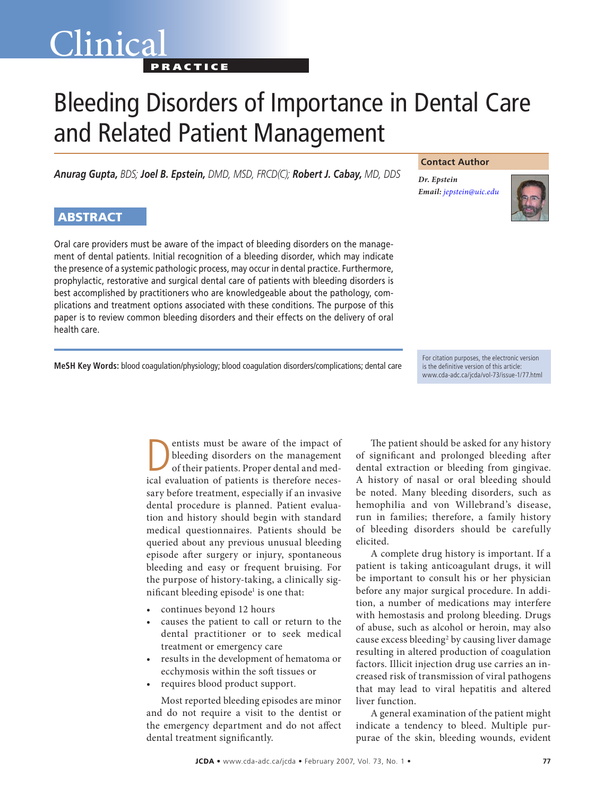## Clinica **PRACTICE**

# Bleeding Disorders of Importance in Dental Care and Related Patient Management

*Anurag Gupta, BDS; Joel B. Epstein, DMD, MSD, FRCD(C); Robert J. Cabay, MD, DDS*

#### **Contact Author**

*Dr. Epstein Email: [jepstein@uic.edu](mailto:jepstein@uic.edu)*



### ABSTRACT

Oral care providers must be aware of the impact of bleeding disorders on the management of dental patients. Initial recognition of a bleeding disorder, which may indicate the presence of a systemic pathologic process, may occur in dental practice. Furthermore, prophylactic, restorative and surgical dental care of patients with bleeding disorders is best accomplished by practitioners who are knowledgeable about the pathology, complications and treatment options associated with these conditions. The purpose of this paper is to review common bleeding disorders and their effects on the delivery of oral health care.

**MeSH Key Words:** blood coagulation/physiology; blood coagulation disorders/complications; dental care

For citation purposes, the electronic version is the definitive version of this article: www.cda-adc.ca/jcda/vol-73/issue-1/77.html

entists must be aware of the impact of bleeding disorders on the management of their patients. Proper dental and medical evaluation of patients is therefore necessary before treatment, especially if an invasive dental procedure is planned. Patient evaluation and history should begin with standard medical questionnaires. Patients should be queried about any previous unusual bleeding episode after surgery or injury, spontaneous bleeding and easy or frequent bruising. For the purpose of history-taking, a clinically significant bleeding episode<sup>1</sup> is one that:

- continues beyond 12 hours
- causes the patient to call or return to the dental practitioner or to seek medical treatment or emergency care
- results in the development of hematoma or ecchymosis within the soft tissues or
- requires blood product support.

Most reported bleeding episodes are minor and do not require a visit to the dentist or the emergency department and do not affect dental treatment significantly.

The patient should be asked for any history of significant and prolonged bleeding after dental extraction or bleeding from gingivae. A history of nasal or oral bleeding should be noted. Many bleeding disorders, such as hemophilia and von Willebrand's disease, run in families; therefore, a family history of bleeding disorders should be carefully elicited.

A complete drug history is important. If a patient is taking anticoagulant drugs, it will be important to consult his or her physician before any major surgical procedure. In addition, a number of medications may interfere with hemostasis and prolong bleeding. Drugs of abuse, such as alcohol or heroin, may also cause excess bleeding<sup>2</sup> by causing liver damage resulting in altered production of coagulation factors. Illicit injection drug use carries an increased risk of transmission of viral pathogens that may lead to viral hepatitis and altered liver function.

A general examination of the patient might indicate a tendency to bleed. Multiple purpurae of the skin, bleeding wounds, evident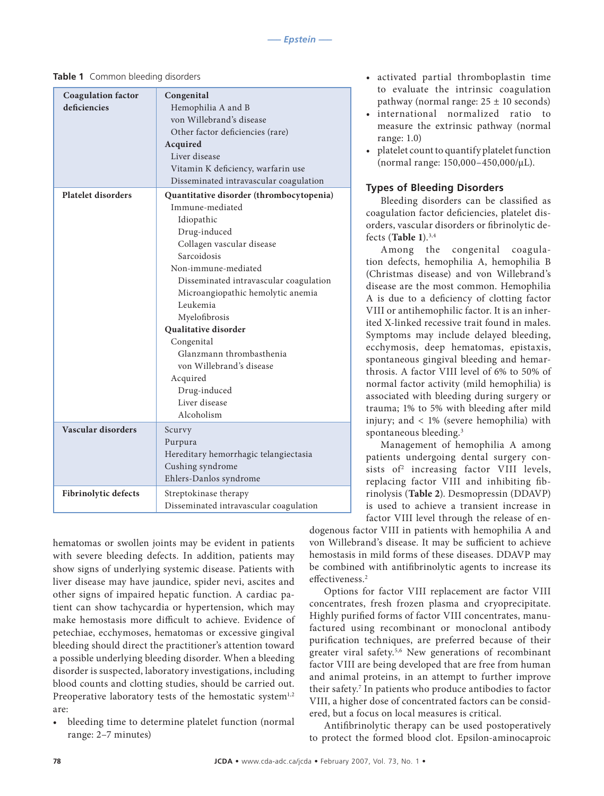| <b>Coagulation</b> factor<br>deficiencies | Congenital<br>Hemophilia A and B<br>von Willebrand's disease<br>Other factor deficiencies (rare)<br>Acquired<br>Liver disease<br>Vitamin K deficiency, warfarin use<br>Disseminated intravascular coagulation                                                                                                                                                                                                                            |
|-------------------------------------------|------------------------------------------------------------------------------------------------------------------------------------------------------------------------------------------------------------------------------------------------------------------------------------------------------------------------------------------------------------------------------------------------------------------------------------------|
| <b>Platelet disorders</b>                 | Quantitative disorder (thrombocytopenia)<br>Immune-mediated<br>Idiopathic<br>Drug-induced<br>Collagen vascular disease<br>Sarcoidosis<br>Non-immune-mediated<br>Disseminated intravascular coagulation<br>Microangiopathic hemolytic anemia<br>Leukemia<br>Myelofibrosis<br><b>Qualitative disorder</b><br>Congenital<br>Glanzmann thrombasthenia<br>von Willebrand's disease<br>Acquired<br>Drug-induced<br>Liver disease<br>Alcoholism |
| Vascular disorders                        | Scurvy<br>Purpura<br>Hereditary hemorrhagic telangiectasia<br>Cushing syndrome<br>Ehlers-Danlos syndrome                                                                                                                                                                                                                                                                                                                                 |
| <b>Fibrinolytic defects</b>               | Streptokinase therapy<br>Disseminated intravascular coagulation                                                                                                                                                                                                                                                                                                                                                                          |

hematomas or swollen joints may be evident in patients with severe bleeding defects. In addition, patients may show signs of underlying systemic disease. Patients with liver disease may have jaundice, spider nevi, ascites and other signs of impaired hepatic function. A cardiac patient can show tachycardia or hypertension, which may make hemostasis more difficult to achieve. Evidence of petechiae, ecchymoses, hematomas or excessive gingival bleeding should direct the practitioner's attention toward a possible underlying bleeding disorder. When a bleeding disorder is suspected, laboratory investigations, including blood counts and clotting studies, should be carried out. Preoperative laboratory tests of the hemostatic system<sup>1,2</sup> are:

bleeding time to determine platelet function (normal range: 2–7 minutes)

- activated partial thromboplastin time to evaluate the intrinsic coagulation pathway (normal range:  $25 \pm 10$  seconds)
- international normalized ratio to measure the extrinsic pathway (normal range: 1.0)
- platelet count to quantify platelet function (normal range: 150,000–450,000/µL).

#### **Types of Bleeding Disorders**

Bleeding disorders can be classified as coagulation factor deficiencies, platelet disorders, vascular disorders or fibrinolytic defects (**Table 1**).3,4

Among the congenital coagulation defects, hemophilia A, hemophilia B (Christmas disease) and von Willebrand's disease are the most common. Hemophilia A is due to a deficiency of clotting factor VIII or antihemophilic factor. It is an inherited X-linked recessive trait found in males. Symptoms may include delayed bleeding, ecchymosis, deep hematomas, epistaxis, spontaneous gingival bleeding and hemarthrosis. A factor VIII level of 6% to 50% of normal factor activity (mild hemophilia) is associated with bleeding during surgery or trauma; 1% to 5% with bleeding after mild injury; and < 1% (severe hemophilia) with spontaneous bleeding.3

Management of hemophilia A among patients undergoing dental surgery consists of<sup>2</sup> increasing factor VIII levels, replacing factor VIII and inhibiting fibrinolysis (**Table 2**). Desmopressin (DDAVP) is used to achieve a transient increase in factor VIII level through the release of en-

dogenous factor VIII in patients with hemophilia A and von Willebrand's disease. It may be sufficient to achieve hemostasis in mild forms of these diseases. DDAVP may be combined with antifibrinolytic agents to increase its effectiveness.2

Options for factor VIII replacement are factor VIII concentrates, fresh frozen plasma and cryoprecipitate. Highly purified forms of factor VIII concentrates, manufactured using recombinant or monoclonal antibody purification techniques, are preferred because of their greater viral safety.<sup>5,6</sup> New generations of recombinant factor VIII are being developed that are free from human and animal proteins, in an attempt to further improve their safety.7 In patients who produce antibodies to factor VIII, a higher dose of concentrated factors can be considered, but a focus on local measures is critical.

Antifibrinolytic therapy can be used postoperatively to protect the formed blood clot. Epsilon-aminocaproic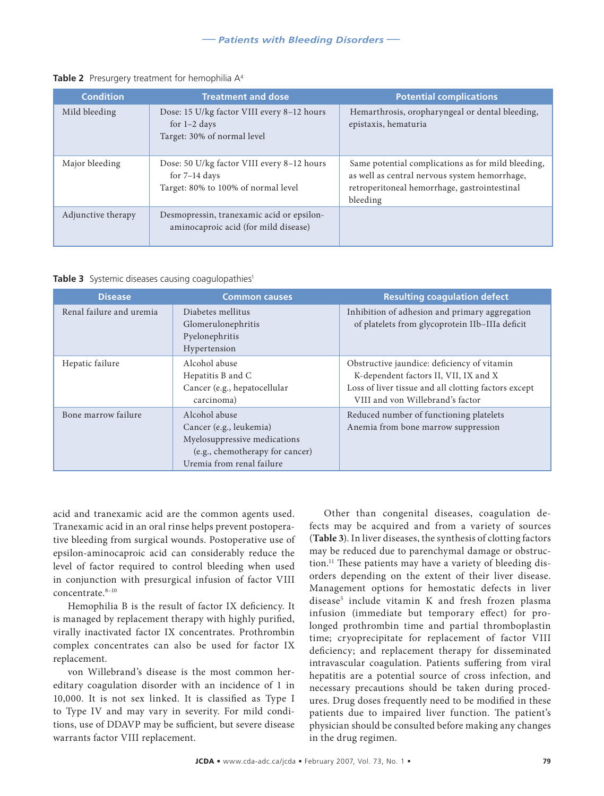| <b>Condition</b>   | <b>Treatment and dose</b>                                                                            | <b>Potential complications</b>                                                                                                                                  |
|--------------------|------------------------------------------------------------------------------------------------------|-----------------------------------------------------------------------------------------------------------------------------------------------------------------|
| Mild bleeding      | Dose: 15 U/kg factor VIII every 8-12 hours<br>for $1-2$ days<br>Target: 30% of normal level          | Hemarthrosis, oropharyngeal or dental bleeding,<br>epistaxis, hematuria                                                                                         |
| Major bleeding     | Dose: 50 U/kg factor VIII every 8-12 hours<br>for $7-14$ days<br>Target: 80% to 100% of normal level | Same potential complications as for mild bleeding,<br>as well as central nervous system hemorrhage,<br>retroperitoneal hemorrhage, gastrointestinal<br>bleeding |
| Adjunctive therapy | Desmopressin, tranexamic acid or epsilon-<br>aminocaproic acid (for mild disease)                    |                                                                                                                                                                 |

**Table 2** Presurgery treatment for hemophilia A<sup>4</sup>

**Table 3** Systemic diseases causing coagulopathies<sup>1</sup>

| <b>Disease</b>           | <b>Common causes</b>                                                                                                                     | <b>Resulting coagulation defect</b>                                                                                                                                              |
|--------------------------|------------------------------------------------------------------------------------------------------------------------------------------|----------------------------------------------------------------------------------------------------------------------------------------------------------------------------------|
| Renal failure and uremia | Diabetes mellitus<br>Glomerulonephritis<br>Pyelonephritis<br>Hypertension                                                                | Inhibition of adhesion and primary aggregation<br>of platelets from glycoprotein IIb-IIIa deficit                                                                                |
| Hepatic failure          | Alcohol abuse<br>Hepatitis B and C<br>Cancer (e.g., hepatocellular<br>carcinoma)                                                         | Obstructive jaundice: deficiency of vitamin<br>K-dependent factors II, VII, IX and X<br>Loss of liver tissue and all clotting factors except<br>VIII and von Willebrand's factor |
| Bone marrow failure      | Alcohol abuse<br>Cancer (e.g., leukemia)<br>Myelosuppressive medications<br>(e.g., chemotherapy for cancer)<br>Uremia from renal failure | Reduced number of functioning platelets<br>Anemia from bone marrow suppression                                                                                                   |

acid and tranexamic acid are the common agents used. Tranexamic acid in an oral rinse helps prevent postoperative bleeding from surgical wounds. Postoperative use of epsilon-aminocaproic acid can considerably reduce the level of factor required to control bleeding when used in conjunction with presurgical infusion of factor VIII concentrate.8–10

Hemophilia B is the result of factor IX deficiency. It is managed by replacement therapy with highly purified, virally inactivated factor IX concentrates. Prothrombin complex concentrates can also be used for factor IX replacement.

von Willebrand's disease is the most common hereditary coagulation disorder with an incidence of 1 in 10,000. It is not sex linked. It is classified as Type I to Type IV and may vary in severity. For mild conditions, use of DDAVP may be sufficient, but severe disease warrants factor VIII replacement.

Other than congenital diseases, coagulation defects may be acquired and from a variety of sources (**Table 3**). In liver diseases, the synthesis of clotting factors may be reduced due to parenchymal damage or obstruction.11 These patients may have a variety of bleeding disorders depending on the extent of their liver disease. Management options for hemostatic defects in liver disease5 include vitamin K and fresh frozen plasma infusion (immediate but temporary effect) for prolonged prothrombin time and partial thromboplastin time; cryoprecipitate for replacement of factor VIII deficiency; and replacement therapy for disseminated intravascular coagulation. Patients suffering from viral hepatitis are a potential source of cross infection, and necessary precautions should be taken during procedures. Drug doses frequently need to be modified in these patients due to impaired liver function. The patient's physician should be consulted before making any changes in the drug regimen.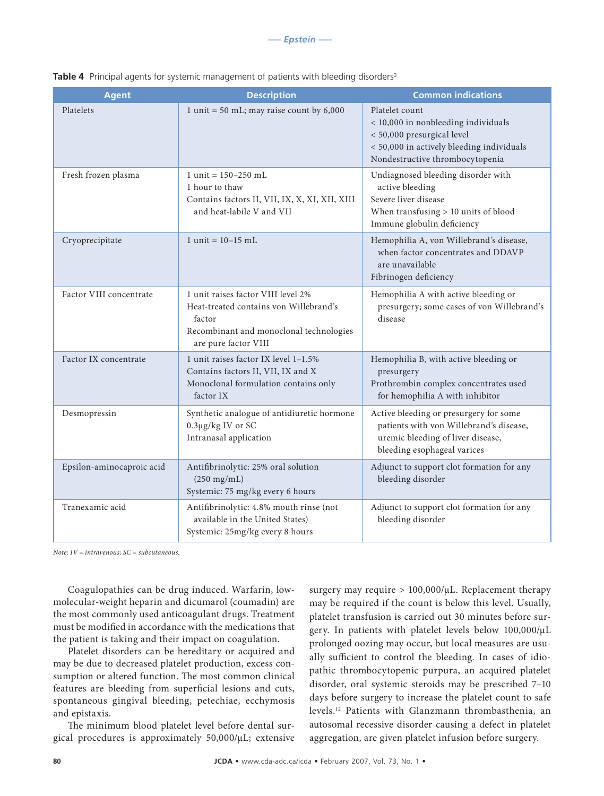| <b>Agent</b>              | <b>Description</b>                                                                                                                                        | <b>Common indications</b>                                                                                                                                           |
|---------------------------|-----------------------------------------------------------------------------------------------------------------------------------------------------------|---------------------------------------------------------------------------------------------------------------------------------------------------------------------|
| Platelets                 | 1 unit = 50 mL; may raise count by $6,000$                                                                                                                | Platelet count<br>< 10,000 in nonbleeding individuals<br>< 50,000 presurgical level<br>< 50,000 in actively bleeding individuals<br>Nondestructive thrombocytopenia |
| Fresh frozen plasma       | 1 unit = $150-250$ mL<br>1 hour to thaw<br>Contains factors II, VII, IX, X, XI, XII, XIII<br>and heat-labile V and VII                                    | Undiagnosed bleeding disorder with<br>active bleeding<br>Severe liver disease<br>When transfusing $> 10$ units of blood<br>Immune globulin deficiency               |
| Cryoprecipitate           | 1 unit = $10 - 15$ mL                                                                                                                                     | Hemophilia A, von Willebrand's disease,<br>when factor concentrates and DDAVP<br>are unavailable<br>Fibrinogen deficiency                                           |
| Factor VIII concentrate   | 1 unit raises factor VIII level 2%<br>Heat-treated contains von Willebrand's<br>factor<br>Recombinant and monoclonal technologies<br>are pure factor VIII | Hemophilia A with active bleeding or<br>presurgery; some cases of von Willebrand's<br>disease                                                                       |
| Factor IX concentrate     | 1 unit raises factor IX level 1-1.5%<br>Contains factors II, VII, IX and X<br>Monoclonal formulation contains only<br>factor IX                           | Hemophilia B, with active bleeding or<br>presurgery<br>Prothrombin complex concentrates used<br>for hemophilia A with inhibitor                                     |
| Desmopressin              | Synthetic analogue of antidiuretic hormone<br>0.3µg/kg IV or SC<br>Intranasal application                                                                 | Active bleeding or presurgery for some<br>patients with von Willebrand's disease,<br>uremic bleeding of liver disease,<br>bleeding esophageal varices               |
| Epsilon-aminocaproic acid | Antifibrinolytic: 25% oral solution<br>$(250 \text{ mg/mL})$<br>Systemic: 75 mg/kg every 6 hours                                                          | Adjunct to support clot formation for any<br>bleeding disorder                                                                                                      |
| Tranexamic acid           | Antifibrinolytic: 4.8% mouth rinse (not<br>available in the United States)<br>Systemic: 25mg/kg every 8 hours                                             | Adjunct to support clot formation for any<br>bleeding disorder                                                                                                      |

**Table 4** Principal agents for systemic management of patients with bleeding disorders<sup>3</sup>

*Note: IV = intravenous; SC = subcutaneous.*

Coagulopathies can be drug induced. Warfarin, lowmolecular-weight heparin and dicumarol (coumadin) are the most commonly used anticoagulant drugs. Treatment must be modified in accordance with the medications that the patient is taking and their impact on coagulation.

Platelet disorders can be hereditary or acquired and may be due to decreased platelet production, excess consumption or altered function. The most common clinical features are bleeding from superficial lesions and cuts, spontaneous gingival bleeding, petechiae, ecchymosis and epistaxis.

The minimum blood platelet level before dental surgical procedures is approximately 50,000/µL; extensive surgery may require > 100,000/µL. Replacement therapy may be required if the count is below this level. Usually, platelet transfusion is carried out 30 minutes before surgery. In patients with platelet levels below 100,000/µL prolonged oozing may occur, but local measures are usually sufficient to control the bleeding. In cases of idiopathic thrombocytopenic purpura, an acquired platelet disorder, oral systemic steroids may be prescribed 7–10 days before surgery to increase the platelet count to safe levels.12 Patients with Glanzmann thrombasthenia, an autosomal recessive disorder causing a defect in platelet aggregation, are given platelet infusion before surgery.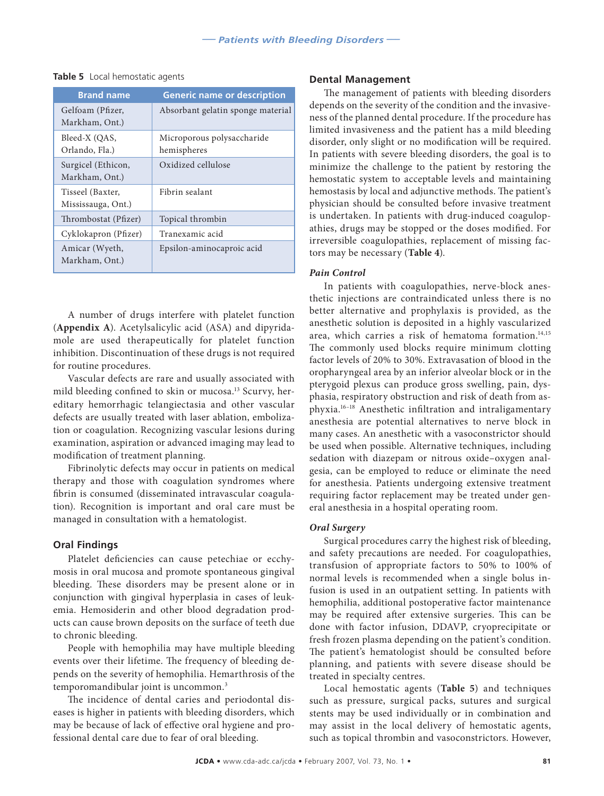| <b>Brand name</b>                      | <b>Generic name or description</b>        |
|----------------------------------------|-------------------------------------------|
| Gelfoam (Pfizer,<br>Markham, Ont.)     | Absorbant gelatin sponge material         |
| Bleed-X (OAS,<br>Orlando, Fla.)        | Microporous polysaccharide<br>hemispheres |
| Surgicel (Ethicon,<br>Markham, Ont.)   | Oxidized cellulose                        |
| Tisseel (Baxter,<br>Mississauga, Ont.) | Fibrin sealant                            |
| Thrombostat (Pfizer)                   | Topical thrombin                          |
| Cyklokapron (Pfizer)                   | Tranexamic acid                           |
| Amicar (Wyeth,<br>Markham, Ont.)       | Epsilon-aminocaproic acid                 |

#### **Table 5** Local hemostatic agents

A number of drugs interfere with platelet function (**Appendix A**). Acetylsalicylic acid (ASA) and dipyridamole are used therapeutically for platelet function inhibition. Discontinuation of these drugs is not required for routine procedures.

Vascular defects are rare and usually associated with mild bleeding confined to skin or mucosa.<sup>13</sup> Scurvy, hereditary hemorrhagic telangiectasia and other vascular defects are usually treated with laser ablation, embolization or coagulation. Recognizing vascular lesions during examination, aspiration or advanced imaging may lead to modification of treatment planning.

Fibrinolytic defects may occur in patients on medical therapy and those with coagulation syndromes where fibrin is consumed (disseminated intravascular coagulation). Recognition is important and oral care must be managed in consultation with a hematologist.

#### **Oral Findings**

Platelet deficiencies can cause petechiae or ecchymosis in oral mucosa and promote spontaneous gingival bleeding. These disorders may be present alone or in conjunction with gingival hyperplasia in cases of leukemia. Hemosiderin and other blood degradation products can cause brown deposits on the surface of teeth due to chronic bleeding.

People with hemophilia may have multiple bleeding events over their lifetime. The frequency of bleeding depends on the severity of hemophilia. Hemarthrosis of the temporomandibular joint is uncommon.<sup>3</sup>

The incidence of dental caries and periodontal diseases is higher in patients with bleeding disorders, which may be because of lack of effective oral hygiene and professional dental care due to fear of oral bleeding.

#### **Dental Management**

The management of patients with bleeding disorders depends on the severity of the condition and the invasiveness of the planned dental procedure. If the procedure has limited invasiveness and the patient has a mild bleeding disorder, only slight or no modification will be required. In patients with severe bleeding disorders, the goal is to minimize the challenge to the patient by restoring the hemostatic system to acceptable levels and maintaining hemostasis by local and adjunctive methods. The patient's physician should be consulted before invasive treatment is undertaken. In patients with drug-induced coagulopathies, drugs may be stopped or the doses modified. For irreversible coagulopathies, replacement of missing factors may be necessary (**Table 4**).

#### *Pain Control*

In patients with coagulopathies, nerve-block anesthetic injections are contraindicated unless there is no better alternative and prophylaxis is provided, as the anesthetic solution is deposited in a highly vascularized area, which carries a risk of hematoma formation.<sup>14,15</sup> The commonly used blocks require minimum clotting factor levels of 20% to 30%. Extravasation of blood in the oropharyngeal area by an inferior alveolar block or in the pterygoid plexus can produce gross swelling, pain, dysphasia, respiratory obstruction and risk of death from asphyxia.16–18 Anesthetic infiltration and intraligamentary anesthesia are potential alternatives to nerve block in many cases. An anesthetic with a vasoconstrictor should be used when possible. Alternative techniques, including sedation with diazepam or nitrous oxide–oxygen analgesia, can be employed to reduce or eliminate the need for anesthesia. Patients undergoing extensive treatment requiring factor replacement may be treated under general anesthesia in a hospital operating room.

#### *Oral Surgery*

Surgical procedures carry the highest risk of bleeding, and safety precautions are needed. For coagulopathies, transfusion of appropriate factors to 50% to 100% of normal levels is recommended when a single bolus infusion is used in an outpatient setting. In patients with hemophilia, additional postoperative factor maintenance may be required after extensive surgeries. This can be done with factor infusion, DDAVP, cryoprecipitate or fresh frozen plasma depending on the patient's condition. The patient's hematologist should be consulted before planning, and patients with severe disease should be treated in specialty centres.

Local hemostatic agents (**Table 5**) and techniques such as pressure, surgical packs, sutures and surgical stents may be used individually or in combination and may assist in the local delivery of hemostatic agents, such as topical thrombin and vasoconstrictors. However,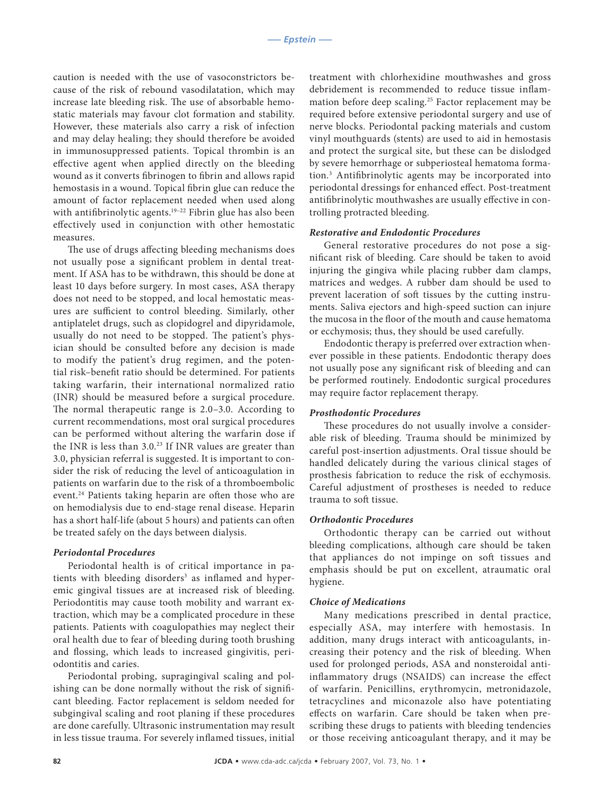caution is needed with the use of vasoconstrictors because of the risk of rebound vasodilatation, which may increase late bleeding risk. The use of absorbable hemostatic materials may favour clot formation and stability. However, these materials also carry a risk of infection and may delay healing; they should therefore be avoided in immunosuppressed patients. Topical thrombin is an effective agent when applied directly on the bleeding wound as it converts fibrinogen to fibrin and allows rapid hemostasis in a wound. Topical fibrin glue can reduce the amount of factor replacement needed when used along with antifibrinolytic agents.<sup>19-22</sup> Fibrin glue has also been effectively used in conjunction with other hemostatic measures.

The use of drugs affecting bleeding mechanisms does not usually pose a significant problem in dental treatment. If ASA has to be withdrawn, this should be done at least 10 days before surgery. In most cases, ASA therapy does not need to be stopped, and local hemostatic measures are sufficient to control bleeding. Similarly, other antiplatelet drugs, such as clopidogrel and dipyridamole, usually do not need to be stopped. The patient's physician should be consulted before any decision is made to modify the patient's drug regimen, and the potential risk–benefit ratio should be determined. For patients taking warfarin, their international normalized ratio (INR) should be measured before a surgical procedure. The normal therapeutic range is 2.0–3.0. According to current recommendations, most oral surgical procedures can be performed without altering the warfarin dose if the INR is less than 3.0.23 If INR values are greater than 3.0, physician referral is suggested. It is important to consider the risk of reducing the level of anticoagulation in patients on warfarin due to the risk of a thromboembolic event.24 Patients taking heparin are often those who are on hemodialysis due to end-stage renal disease. Heparin has a short half-life (about 5 hours) and patients can often be treated safely on the days between dialysis.

#### *Periodontal Procedures*

Periodontal health is of critical importance in patients with bleeding disorders<sup>3</sup> as inflamed and hyperemic gingival tissues are at increased risk of bleeding. Periodontitis may cause tooth mobility and warrant extraction, which may be a complicated procedure in these patients. Patients with coagulopathies may neglect their oral health due to fear of bleeding during tooth brushing and flossing, which leads to increased gingivitis, periodontitis and caries.

Periodontal probing, supragingival scaling and polishing can be done normally without the risk of significant bleeding. Factor replacement is seldom needed for subgingival scaling and root planing if these procedures are done carefully. Ultrasonic instrumentation may result in less tissue trauma. For severely inflamed tissues, initial

treatment with chlorhexidine mouthwashes and gross debridement is recommended to reduce tissue inflammation before deep scaling.<sup>25</sup> Factor replacement may be required before extensive periodontal surgery and use of nerve blocks. Periodontal packing materials and custom vinyl mouthguards (stents) are used to aid in hemostasis and protect the surgical site, but these can be dislodged by severe hemorrhage or subperiosteal hematoma formation.3 Antifibrinolytic agents may be incorporated into periodontal dressings for enhanced effect. Post-treatment antifibrinolytic mouthwashes are usually effective in controlling protracted bleeding.

#### *Restorative and Endodontic Procedures*

General restorative procedures do not pose a significant risk of bleeding. Care should be taken to avoid injuring the gingiva while placing rubber dam clamps, matrices and wedges. A rubber dam should be used to prevent laceration of soft tissues by the cutting instruments. Saliva ejectors and high-speed suction can injure the mucosa in the floor of the mouth and cause hematoma or ecchymosis; thus, they should be used carefully.

Endodontic therapy is preferred over extraction whenever possible in these patients. Endodontic therapy does not usually pose any significant risk of bleeding and can be performed routinely. Endodontic surgical procedures may require factor replacement therapy.

#### *Prosthodontic Procedures*

These procedures do not usually involve a considerable risk of bleeding. Trauma should be minimized by careful post-insertion adjustments. Oral tissue should be handled delicately during the various clinical stages of prosthesis fabrication to reduce the risk of ecchymosis. Careful adjustment of prostheses is needed to reduce trauma to soft tissue.

#### *Orthodontic Procedures*

Orthodontic therapy can be carried out without bleeding complications, although care should be taken that appliances do not impinge on soft tissues and emphasis should be put on excellent, atraumatic oral hygiene.

#### *Choice of Medications*

Many medications prescribed in dental practice, especially ASA, may interfere with hemostasis. In addition, many drugs interact with anticoagulants, increasing their potency and the risk of bleeding. When used for prolonged periods, ASA and nonsteroidal antiinflammatory drugs (NSAIDS) can increase the effect of warfarin. Penicillins, erythromycin, metronidazole, tetracyclines and miconazole also have potentiating effects on warfarin. Care should be taken when prescribing these drugs to patients with bleeding tendencies or those receiving anticoagulant therapy, and it may be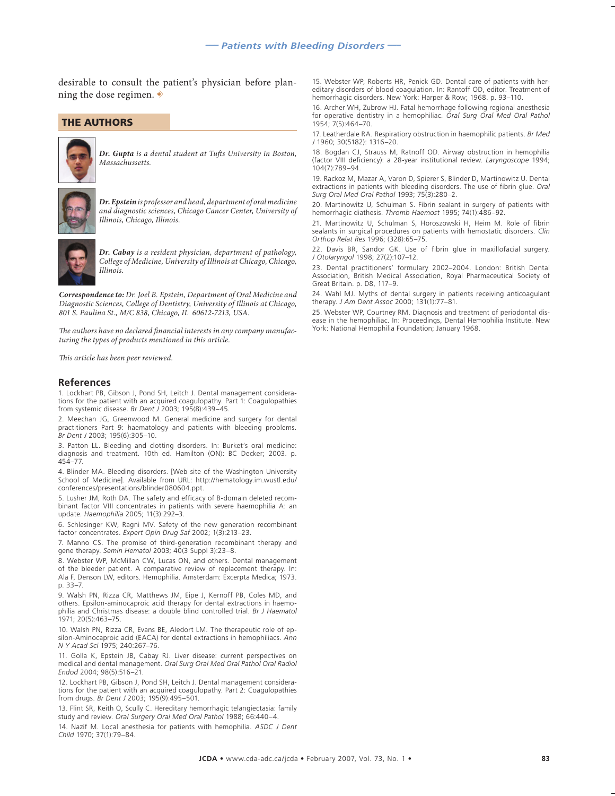desirable to consult the patient's physician before planning the dose regimen.  $\overrightarrow{\cdot}$ 

#### **THE AUTHORS**



**Dr. Gupta** *is a dental student at Tufts University in Boston, Massachussetts.*



*Dr. Epstein is professor and head, department of oral medicine and diagnostic sciences, Chicago Cancer Center, University of Illinois, Chicago, Illinois.*



*Dr. Cabay is a resident physician, department of pathology, College of Medicine, University of Illinois at Chicago, Chicago, Illinois.*

*Correspondence to: Dr. Joel B. Epstein, Department of Oral Medicine and Diagnostic Sciences, College of Dentistry, University of Illinois at Chicago, 801 S. Paulina St., M/C 838, Chicago, IL 60612-7213, USA.*

The authors have no declared financial interests in any company manufac*turing the types of products mentioned in this article.*

*Th is article has been peer reviewed.*

#### **References**

1. Lockhart PB, Gibson J, Pond SH, Leitch J. Dental management considerations for the patient with an acquired coagulopathy. Part 1: Coagulopathies from systemic disease. *Br Dent J* 2003; 195(8):439–45.

2. Meechan JG, Greenwood M. General medicine and surgery for dental practitioners Part 9: haematology and patients with bleeding problems. *Br Dent J* 2003; 195(6):305–10.

3. Patton LL. Bleeding and clotting disorders. In: Burket's oral medicine: diagnosis and treatment. 10th ed. Hamilton (ON): BC Decker; 2003. p. 454–77.

4. Blinder MA. Bleeding disorders. [Web site of the Washington University School of Medicine]. Available from URL: http://hematology.im.wustl.edu/ conferences/presentations/blinder080604.ppt.

5. Lusher JM, Roth DA. The safety and efficacy of B-domain deleted recombinant factor VIII concentrates in patients with severe haemophilia A: an update. *Haemophilia* 2005; 11(3):292–3.

6. Schlesinger KW, Ragni MV. Safety of the new generation recombinant factor concentrates. *Expert Opin Drug Saf* 2002; 1(3):213–23.

7. Manno CS. The promise of third-generation recombinant therapy and gene therapy. *Semin Hematol* 2003; 40(3 Suppl 3):23–8.

8. Webster WP, McMillan CW, Lucas ON, and others. Dental management of the bleeder patient. A comparative review of replacement therapy. In: Ala F, Denson LW, editors. Hemophilia. Amsterdam: Excerpta Medica; 1973. p. 33–7.

9. Walsh PN, Rizza CR, Matthews JM, Eipe J, Kernoff PB, Coles MD, and others. Epsilon-aminocaproic acid therapy for dental extractions in haemophilia and Christmas disease: a double blind controlled trial. *Br J Haematol*  1971; 20(5):463–75.

10. Walsh PN, Rizza CR, Evans BE, Aledort LM. The therapeutic role of epsilon-Aminocaproic acid (EACA) for dental extractions in hemophiliacs. *Ann N Y Acad Sci* 1975; 240:267–76.

11. Golla K, Epstein JB, Cabay RJ. Liver disease: current perspectives on medical and dental management. *Oral Surg Oral Med Oral Pathol Oral Radiol Endod* 2004; 98(5):516–21.

12. Lockhart PB, Gibson J, Pond SH, Leitch J. Dental management considerations for the patient with an acquired coagulopathy. Part 2: Coagulopathies from drugs. *Br Dent J* 2003; 195(9):495–501.

13. Flint SR, Keith O, Scully C. Hereditary hemorrhagic telangiectasia: family study and review. *Oral Surgery Oral Med Oral Pathol* 1988; 66:440–4.

14. Nazif M. Local anesthesia for patients with hemophilia. *ASDC J Dent Child* 1970; 37(1):79–84.

15. Webster WP, Roberts HR, Penick GD. Dental care of patients with hereditary disorders of blood coagulation. In: Rantoff OD, editor. Treatment of hemorrhagic disorders. New York: Harper & Row; 1968. p. 93–110.

16. Archer WH, Zubrow HJ. Fatal hemorrhage following regional anesthesia for operative dentistry in a hemophiliac. *Oral Surg Oral Med Oral Pathol* 1954; 7(5):464–70.

17. Leatherdale RA. Respiratiory obstruction in haemophilic patients. *Br Med J* 1960; 30(5182): 1316–20.

18. Bogdan CJ, Strauss M, Ratnoff OD. Airway obstruction in hemophilia (factor VIII deficiency): a 28-year institutional review. *Laryngoscope* 1994; 104(7):789–94.

19. Rackoz M, Mazar A, Varon D, Spierer S, Blinder D, Martinowitz U. Dental extractions in patients with bleeding disorders. The use of fibrin glue. *Oral Surg Oral Med Oral Pathol* 1993; 75(3):280–2.

20. Martinowitz U, Schulman S. Fibrin sealant in surgery of patients with hemorrhagic diathesis. *Thromb Haemost* 1995; 74(1):486–92.

21. Martinowitz U, Schulman S, Horoszowski H, Heim M. Role of fibrin sealants in surgical procedures on patients with hemostatic disorders. *Clin Orthop Relat Res* 1996; (328):65–75.

22. Davis BR, Sandor GK. Use of fibrin glue in maxillofacial surgery. *J Otolaryngol* 1998; 27(2):107–12.

23. Dental practitioners' formulary 2002–2004. London: British Dental Association, British Medical Association, Royal Pharmaceutical Society of Great Britain. p. D8, 117–9.

24. Wahl MJ. Myths of dental surgery in patients receiving anticoagulant therapy. *J Am Dent Assoc* 2000; 131(1):77–81.

25. Webster WP, Courtney RM. Diagnosis and treatment of periodontal disease in the hemophiliac. In: Proceedings, Dental Hemophilia Institute. New York: National Hemophilia Foundation; January 1968.